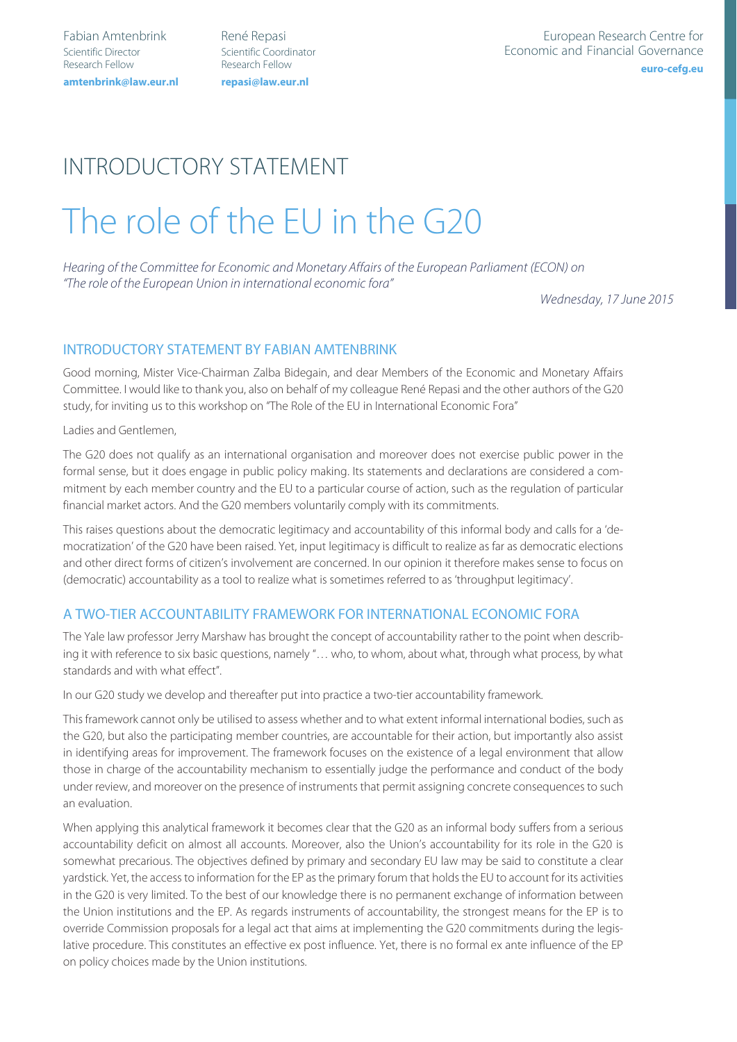Fabian Amtenbrink René Repasi Scientific Director Scientific Coordinator Research Fellow Research Fellow amtenbrink@law.eur.nl

**amtenbrink@law.eur.nl repasi@law.eur.nl**

# INTRODUCTORY STATEMENT The role of the EU in the G20

Hearing of the Committee for Economic and Monetary Affairs of the European Parliament (ECON) on "The role of the European Union in international economic fora"

Wednesday, 17 June 2015

#### INTRODUCTORY STATEMENT BY FABIAN AMTENBRINK

Good morning, Mister Vice-Chairman Zalba Bidegain, and dear Members of the Economic and Monetary Affairs Committee. I would like to thank you, also on behalf of my colleague René Repasi and the other authors of the G20 study, for inviting us to this workshop on "The Role of the EU in International Economic Fora"

Ladies and Gentlemen,

The G20 does not qualify as an international organisation and moreover does not exercise public power in the formal sense, but it does engage in public policy making. Its statements and declarations are considered a commitment by each member country and the EU to a particular course of action, such as the regulation of particular financial market actors. And the G20 members voluntarily comply with its commitments.

This raises questions about the democratic legitimacy and accountability of this informal body and calls for a 'democratization' of the G20 have been raised. Yet, input legitimacy is difficult to realize as far as democratic elections and other direct forms of citizen's involvement are concerned. In our opinion it therefore makes sense to focus on (democratic) accountability as a tool to realize what is sometimes referred to as 'throughput legitimacy'.

#### A TWO-TIER ACCOUNTABILITY FRAMEWORK FOR INTERNATIONAL ECONOMIC FORA

The Yale law professor Jerry Marshaw has brought the concept of accountability rather to the point when describing it with reference to six basic questions, namely "… who, to whom, about what, through what process, by what standards and with what effect".

In our G20 study we develop and thereafter put into practice a two-tier accountability framework.

This framework cannot only be utilised to assess whether and to what extent informal international bodies, such as the G20, but also the participating member countries, are accountable for their action, but importantly also assist in identifying areas for improvement. The framework focuses on the existence of a legal environment that allow those in charge of the accountability mechanism to essentially judge the performance and conduct of the body under review, and moreover on the presence of instruments that permit assigning concrete consequences to such an evaluation.

When applying this analytical framework it becomes clear that the G20 as an informal body suffers from a serious accountability deficit on almost all accounts. Moreover, also the Union's accountability for its role in the G20 is somewhat precarious. The objectives defined by primary and secondary EU law may be said to constitute a clear yardstick. Yet, the access to information for the EP as the primary forum that holds the EU to account for its activities in the G20 is very limited. To the best of our knowledge there is no permanent exchange of information between the Union institutions and the EP. As regards instruments of accountability, the strongest means for the EP is to override Commission proposals for a legal act that aims at implementing the G20 commitments during the legislative procedure. This constitutes an effective ex post influence. Yet, there is no formal ex ante influence of the EP on policy choices made by the Union institutions.